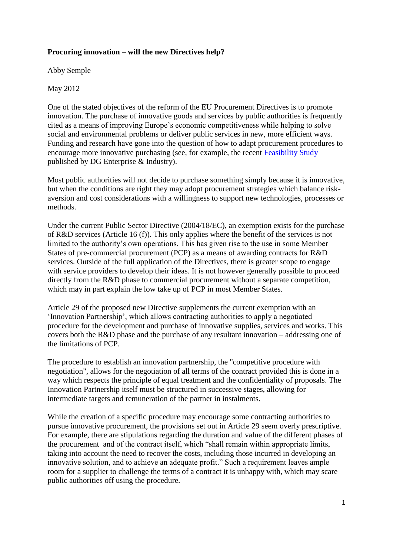## **Procuring innovation – will the new Directives help?**

Abby Semple

May 2012

One of the stated objectives of the reform of the EU Procurement Directives is to promote innovation. The purchase of innovative goods and services by public authorities is frequently cited as a means of improving Europe's economic competitiveness while helping to solve social and environmental problems or deliver public services in new, more efficient ways. Funding and research have gone into the question of how to adapt procurement procedures to encourage more innovative purchasing (see, for example, the recent [Feasibility Study](http://ec.europa.eu/enterprise/policies/innovation/policy/lead-market-initiative/pp-conf2_en.htm#h2-1) published by DG Enterprise & Industry).

Most public authorities will not decide to purchase something simply because it is innovative, but when the conditions are right they may adopt procurement strategies which balance riskaversion and cost considerations with a willingness to support new technologies, processes or methods.

Under the current Public Sector Directive (2004/18/EC), an exemption exists for the purchase of R&D services (Article 16 (f)). This only applies where the benefit of the services is not limited to the authority's own operations. This has given rise to the use in some Member States of pre-commercial procurement (PCP) as a means of awarding contracts for R&D services. Outside of the full application of the Directives, there is greater scope to engage with service providers to develop their ideas. It is not however generally possible to proceed directly from the R&D phase to commercial procurement without a separate competition, which may in part explain the low take up of PCP in most Member States.

Article 29 of the proposed new Directive supplements the current exemption with an 'Innovation Partnership', which allows contracting authorities to apply a negotiated procedure for the development and purchase of innovative supplies, services and works. This covers both the R&D phase and the purchase of any resultant innovation – addressing one of the limitations of PCP.

The procedure to establish an innovation partnership, the "competitive procedure with negotiation", allows for the negotiation of all terms of the contract provided this is done in a way which respects the principle of equal treatment and the confidentiality of proposals. The Innovation Partnership itself must be structured in successive stages, allowing for intermediate targets and remuneration of the partner in instalments.

While the creation of a specific procedure may encourage some contracting authorities to pursue innovative procurement, the provisions set out in Article 29 seem overly prescriptive. For example, there are stipulations regarding the duration and value of the different phases of the procurement and of the contract itself, which "shall remain within appropriate limits, taking into account the need to recover the costs, including those incurred in developing an innovative solution, and to achieve an adequate profit." Such a requirement leaves ample room for a supplier to challenge the terms of a contract it is unhappy with, which may scare public authorities off using the procedure.